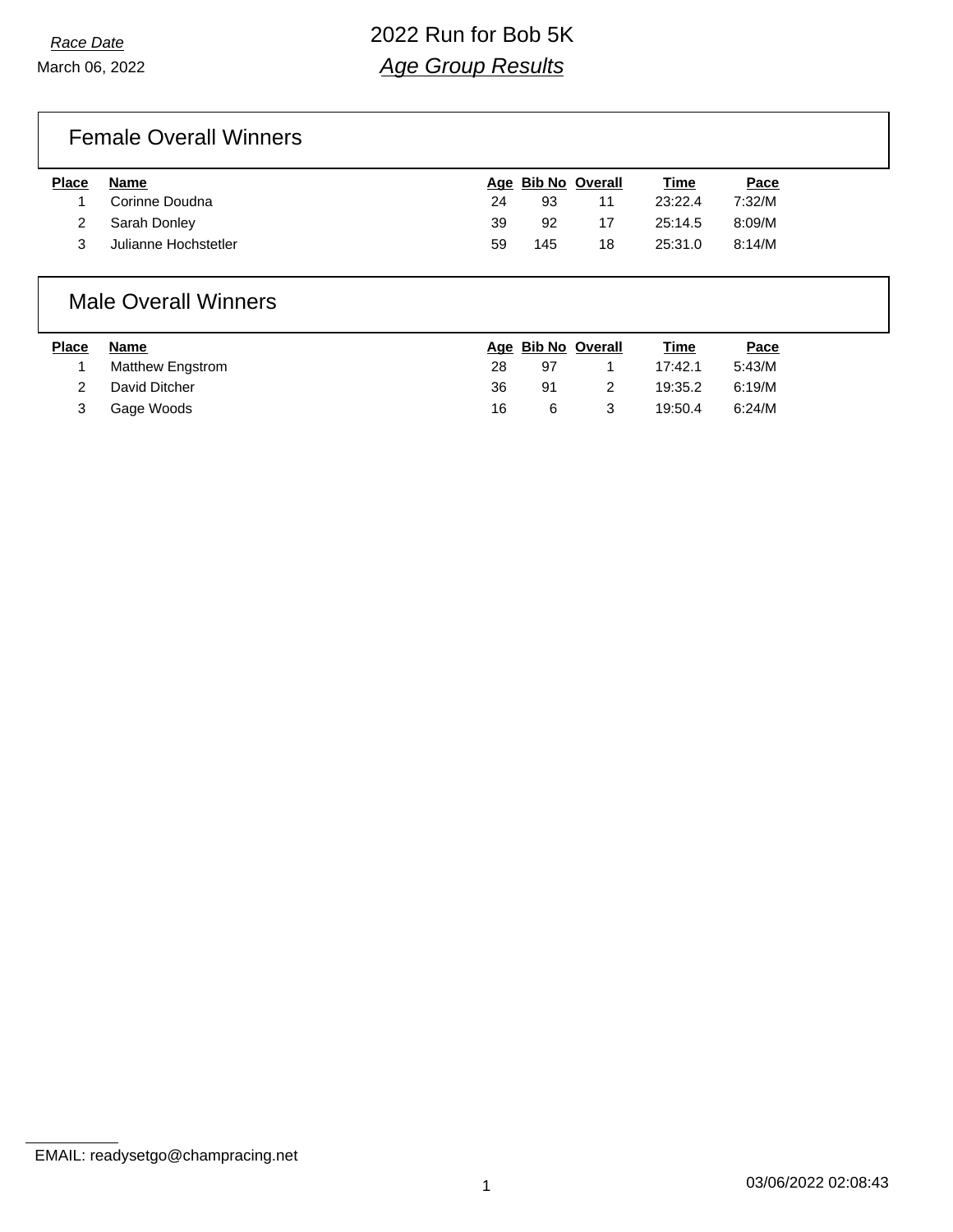### Female Overall Winners

| <b>Place</b> | Name                 |    | Age Bib No Overall |    | Time    | Pace   |
|--------------|----------------------|----|--------------------|----|---------|--------|
|              | Corinne Doudna       | 24 | 93                 | 11 | 23:22.4 | 7:32/M |
|              | Sarah Donley         | 39 | 92                 |    | 25:14.5 | 8:09/M |
|              | Julianne Hochstetler | 59 | 145                | 18 | 25:31.0 | 8:14/M |

### Male Overall Winners

| <b>Place</b> | Name             |     | Age Bib No Overall | Time    | Pace   |
|--------------|------------------|-----|--------------------|---------|--------|
|              | Matthew Engstrom | 28  | 97                 | 17:42.1 | 5:43/M |
|              | David Ditcher    | 36  | 91                 | 19:35.2 | 6:19/M |
| 3            | Gage Woods       | 16. |                    | 19:50.4 | 6:24/M |

EMAIL: readysetgo@champracing.net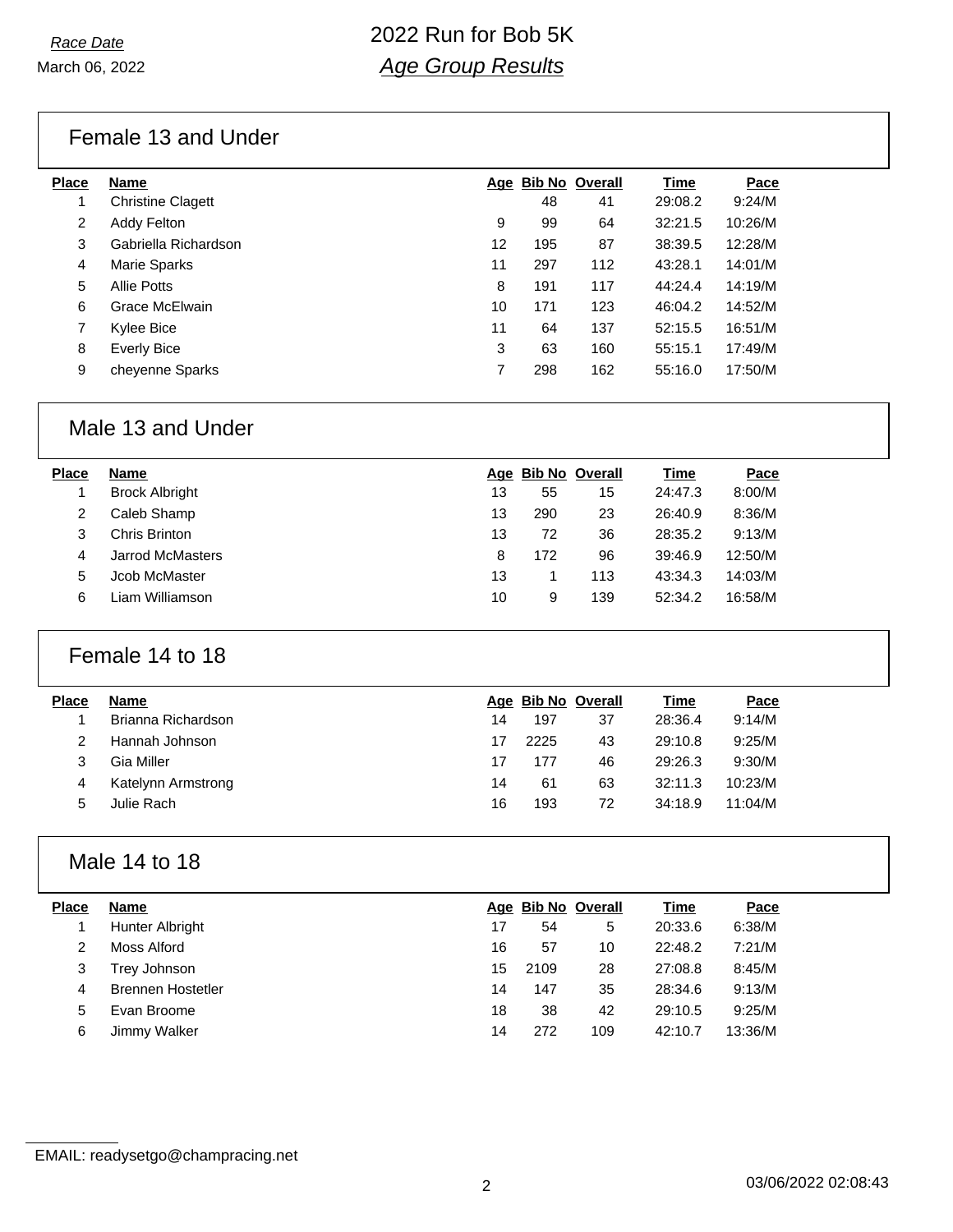### Female 13 and Under

| <b>Place</b> | <b>Name</b>              |    | Age Bib No Overall |     | Time    | Pace    |
|--------------|--------------------------|----|--------------------|-----|---------|---------|
|              | <b>Christine Clagett</b> |    | 48                 | 41  | 29:08.2 | 9:24/M  |
| 2            | Addy Felton              | 9  | 99                 | 64  | 32:21.5 | 10:26/M |
| 3            | Gabriella Richardson     | 12 | 195                | 87  | 38:39.5 | 12:28/M |
| 4            | Marie Sparks             | 11 | 297                | 112 | 43:28.1 | 14:01/M |
| 5            | Allie Potts              | 8  | 191                | 117 | 44:24.4 | 14:19/M |
| 6            | Grace McElwain           | 10 | 171                | 123 | 46:04.2 | 14:52/M |
| 7            | Kylee Bice               | 11 | 64                 | 137 | 52:15.5 | 16:51/M |
| 8            | <b>Everly Bice</b>       | 3  | 63                 | 160 | 55:15.1 | 17:49/M |
| 9            | cheyenne Sparks          | 7  | 298                | 162 | 55:16.0 | 17:50/M |
|              |                          |    |                    |     |         |         |

#### Male 13 and Under

| Pace    |
|---------|
| 8:00/M  |
| 8:36/M  |
| 9:13/M  |
| 12:50/M |
| 14:03/M |
| 16:58/M |
|         |

### Female 14 to 18

| <b>Place</b> | <b>Name</b>        |    |      | Age Bib No Overall | <b>Time</b> | Pace    |  |
|--------------|--------------------|----|------|--------------------|-------------|---------|--|
|              | Brianna Richardson | 14 | 197  | 37                 | 28:36.4     | 9:14/M  |  |
|              | Hannah Johnson     | 17 | 2225 | 43                 | 29:10.8     | 9:25/M  |  |
|              | Gia Miller         | 17 | 177  | 46                 | 29:26.3     | 9:30/M  |  |
|              | Katelynn Armstrong | 14 | 61   | 63                 | 32:11.3     | 10:23/M |  |
| ٠h           | Julie Rach         | 16 | 193  | 72                 | 34:18.9     | 11:04/M |  |
|              |                    |    |      |                    |             |         |  |

### Male 14 to 18

| <b>Place</b> | <b>Name</b>              |    |      | Age Bib No Overall | <b>Time</b> | Pace    |
|--------------|--------------------------|----|------|--------------------|-------------|---------|
|              | <b>Hunter Albright</b>   | 17 | 54   | 5                  | 20:33.6     | 6:38/M  |
|              | Moss Alford              | 16 | 57   | 10                 | 22:48.2     | 7:21/M  |
| 3            | Trey Johnson             | 15 | 2109 | 28                 | 27:08.8     | 8:45/M  |
| 4            | <b>Brennen Hostetler</b> | 14 | 147  | 35                 | 28:34.6     | 9:13/M  |
| 5            | Evan Broome              | 18 | 38   | 42                 | 29:10.5     | 9:25/M  |
| 6            | Jimmy Walker             | 14 | 272  | 109                | 42:10.7     | 13:36/M |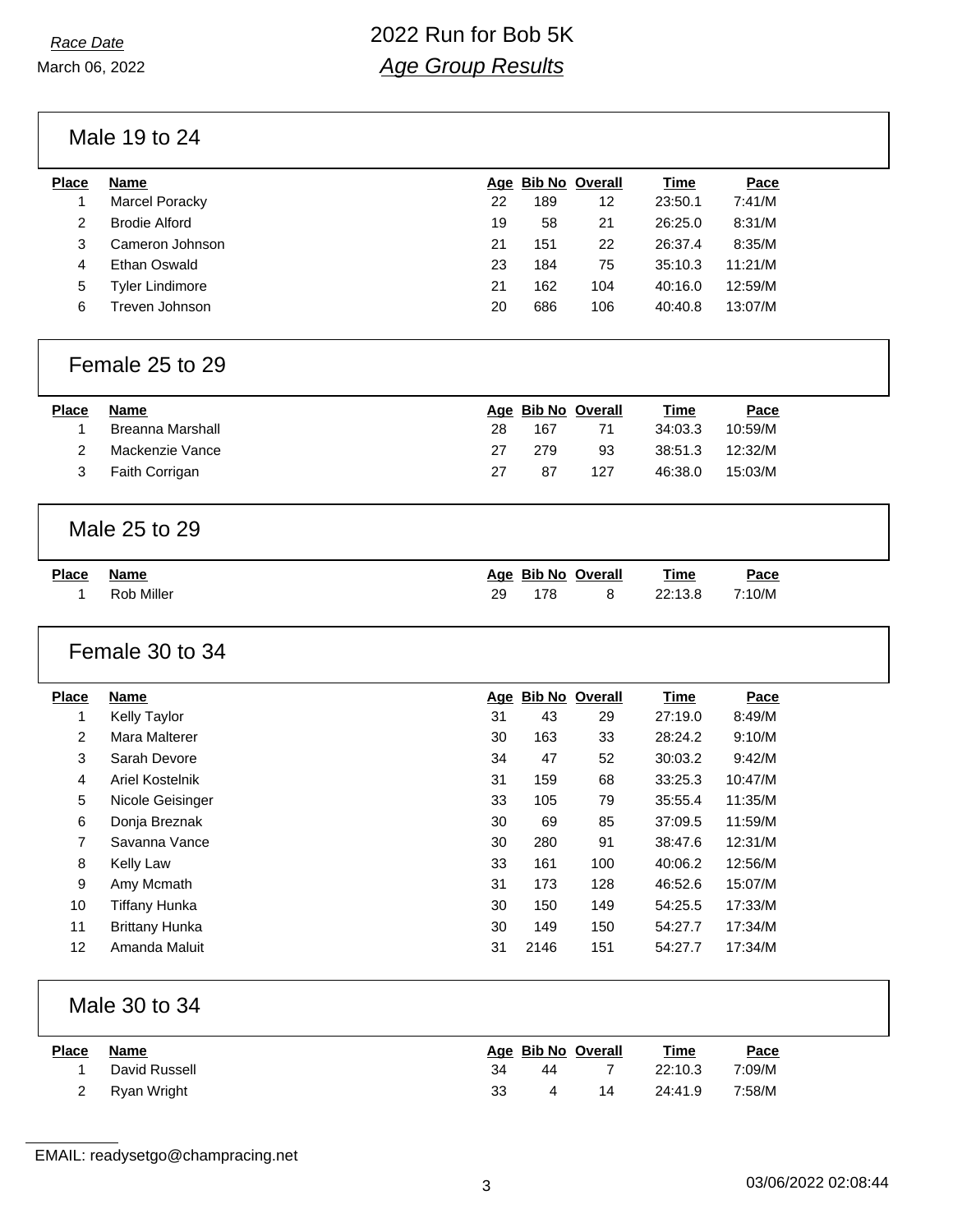March 06, 2022

Male 19 to 24

| <b>Place</b> | Name                 |    |     | Age Bib No Overall | Time    | Pace    |
|--------------|----------------------|----|-----|--------------------|---------|---------|
|              | Marcel Poracky       | 22 | 189 | 12                 | 23:50.1 | 7:41/M  |
| 2            | <b>Brodie Alford</b> | 19 | 58  | 21                 | 26:25.0 | 8:31/M  |
| 3            | Cameron Johnson      | 21 | 151 | 22                 | 26:37.4 | 8:35/M  |
| 4            | Ethan Oswald         | 23 | 184 | 75                 | 35:10.3 | 11:21/M |
| 5            | Tyler Lindimore      | 21 | 162 | 104                | 40:16.0 | 12:59/M |
| 6            | Treven Johnson       | 20 | 686 | 106                | 40:40.8 | 13:07/M |

#### Female 25 to 29

| <b>Place</b> | Name                  |    | Age Bib No Overall |     | <b>Time</b> | Pace    |
|--------------|-----------------------|----|--------------------|-----|-------------|---------|
|              | Breanna Marshall      | 28 | 167                | 71  | 34:03.3     | 10:59/M |
|              | Mackenzie Vance       | 27 | 279                | 93  | 38:51.3     | 12:32/M |
|              | <b>Faith Corrigan</b> | 27 | 87                 | 127 | 46:38.0     | 15:03/M |

### Male 25 to 29

| <b>Place</b> | Name       |    | Age Bib No Overall | Time    | Pace   |
|--------------|------------|----|--------------------|---------|--------|
|              | Rob Miller | 29 | 178                | 22:13.8 | 7:10/M |

### Female 30 to 34

| <b>Place</b>   | <b>Name</b>           |    | Age Bib No Overall |     | Time    | Pace    |
|----------------|-----------------------|----|--------------------|-----|---------|---------|
| 1              | Kelly Taylor          | 31 | 43                 | 29  | 27:19.0 | 8:49/M  |
| $\overline{2}$ | Mara Malterer         | 30 | 163                | 33  | 28:24.2 | 9:10/M  |
| 3              | Sarah Devore          | 34 | 47                 | 52  | 30:03.2 | 9:42/M  |
| 4              | Ariel Kostelnik       | 31 | 159                | 68  | 33:25.3 | 10:47/M |
| 5              | Nicole Geisinger      | 33 | 105                | 79  | 35:55.4 | 11:35/M |
| 6              | Donja Breznak         | 30 | 69                 | 85  | 37:09.5 | 11:59/M |
| 7              | Savanna Vance         | 30 | 280                | 91  | 38:47.6 | 12:31/M |
| 8              | Kelly Law             | 33 | 161                | 100 | 40:06.2 | 12:56/M |
| 9              | Amy Mcmath            | 31 | 173                | 128 | 46:52.6 | 15:07/M |
| 10             | Tiffany Hunka         | 30 | 150                | 149 | 54:25.5 | 17:33/M |
| 11             | <b>Brittany Hunka</b> | 30 | 149                | 150 | 54:27.7 | 17:34/M |
| 12             | Amanda Maluit         | 31 | 2146               | 151 | 54:27.7 | 17:34/M |

### Male 30 to 34

| <b>Place</b> | Name          |    | Age Bib No Overall |    | <b>Time</b> | Pace   |
|--------------|---------------|----|--------------------|----|-------------|--------|
|              | David Russell | 34 | 44                 |    | 22:10.3     | 7:09/M |
|              | Ryan Wright   | 33 |                    | 14 | 24:41.9     | 7:58/M |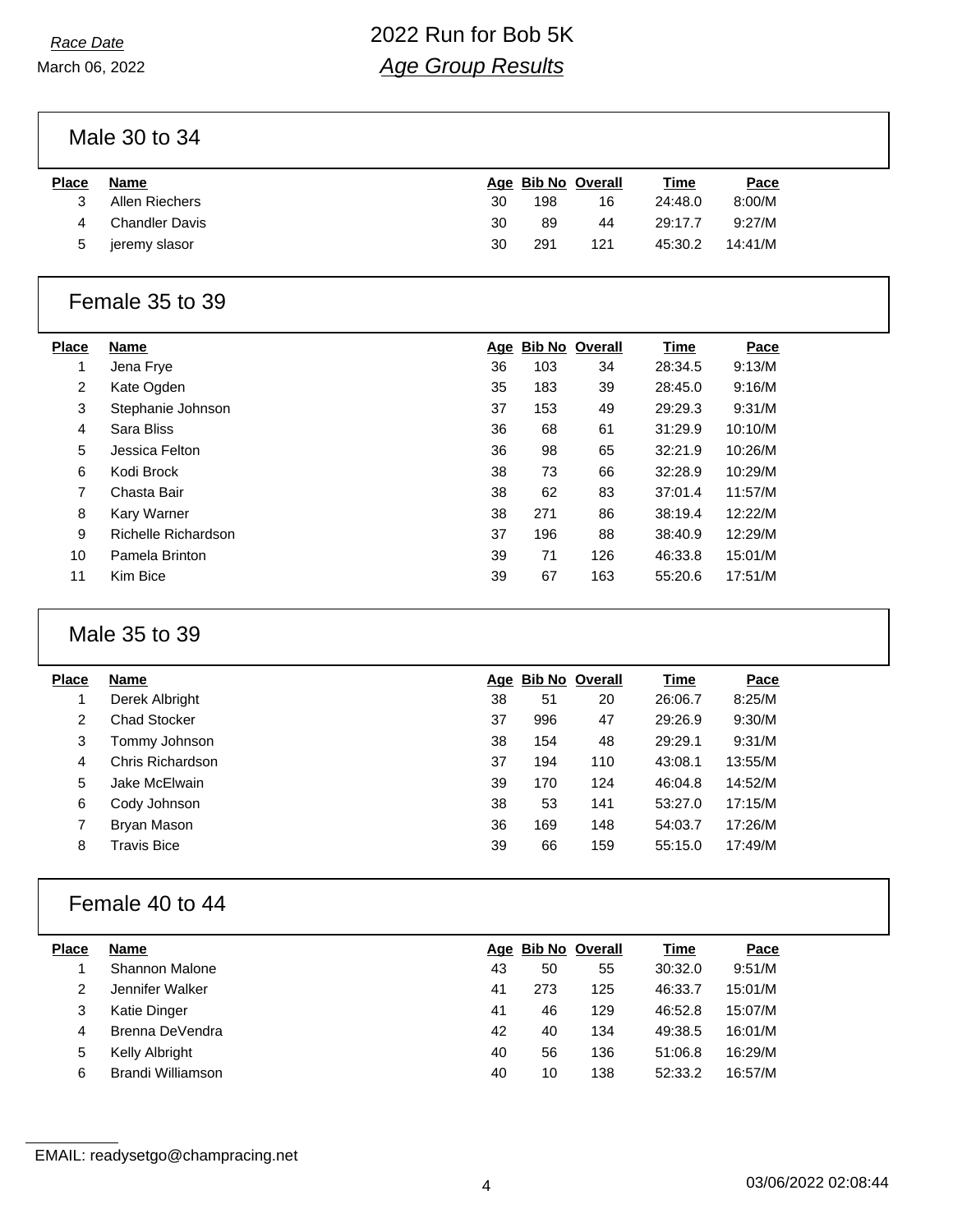March 06, 2022

# *Race Date* 2022 Run for Bob 5K *Age Group Results*

Male 30 to 34

| <b>Place</b> | Name                  |    |     | Age Bib No Overall | <u>Time</u> | Pace    |
|--------------|-----------------------|----|-----|--------------------|-------------|---------|
|              | Allen Riechers        | 30 | 198 | 16                 | 24:48.0     | 8:00/M  |
|              | <b>Chandler Davis</b> | 30 | 89  | 44                 | 29:17.7     | 9:27/M  |
| 5            | jeremy slasor         | 30 | 291 | 121                | 45:30.2     | 14:41/M |

#### Female 35 to 39

| <b>Place</b> | Name                |    | Age Bib No Overall |     | Time    | Pace    |
|--------------|---------------------|----|--------------------|-----|---------|---------|
| 1            | Jena Frye           | 36 | 103                | 34  | 28:34.5 | 9:13/M  |
| 2            | Kate Ogden          | 35 | 183                | 39  | 28:45.0 | 9:16/M  |
| 3            | Stephanie Johnson   | 37 | 153                | 49  | 29:29.3 | 9:31/M  |
| 4            | Sara Bliss          | 36 | 68                 | 61  | 31:29.9 | 10:10/M |
| 5            | Jessica Felton      | 36 | 98                 | 65  | 32:21.9 | 10:26/M |
| 6            | Kodi Brock          | 38 | 73                 | 66  | 32:28.9 | 10:29/M |
| 7            | Chasta Bair         | 38 | 62                 | 83  | 37:01.4 | 11:57/M |
| 8            | <b>Kary Warner</b>  | 38 | 271                | 86  | 38:19.4 | 12:22/M |
| 9            | Richelle Richardson | 37 | 196                | 88  | 38:40.9 | 12:29/M |
| 10           | Pamela Brinton      | 39 | 71                 | 126 | 46:33.8 | 15:01/M |
| 11           | Kim Bice            | 39 | 67                 | 163 | 55:20.6 | 17:51/M |

#### Male 35 to 39

| Place | <b>Name</b>         |    | Age Bib No Overall |     | <b>Time</b> | Pace    |  |
|-------|---------------------|----|--------------------|-----|-------------|---------|--|
|       | Derek Albright      | 38 | 51                 | 20  | 26:06.7     | 8:25/M  |  |
| 2     | <b>Chad Stocker</b> | 37 | 996                | 47  | 29:26.9     | 9:30/M  |  |
| 3     | Tommy Johnson       | 38 | 154                | 48  | 29:29.1     | 9:31/M  |  |
| 4     | Chris Richardson    | 37 | 194                | 110 | 43:08.1     | 13:55/M |  |
| 5     | Jake McElwain       | 39 | 170                | 124 | 46:04.8     | 14:52/M |  |
| 6     | Cody Johnson        | 38 | 53                 | 141 | 53:27.0     | 17:15/M |  |
|       | Bryan Mason         | 36 | 169                | 148 | 54:03.7     | 17:26/M |  |
| 8     | Travis Bice         | 39 | 66                 | 159 | 55:15.0     | 17:49/M |  |
|       |                     |    |                    |     |             |         |  |

### Female 40 to 44

| <b>Place</b> | <b>Name</b>       |    | Age Bib No Overall |     | Time    | Pace    |  |
|--------------|-------------------|----|--------------------|-----|---------|---------|--|
|              | Shannon Malone    | 43 | 50                 | 55  | 30:32.0 | 9:51/M  |  |
|              | Jennifer Walker   | 41 | 273                | 125 | 46:33.7 | 15:01/M |  |
| 3            | Katie Dinger      | 41 | 46                 | 129 | 46:52.8 | 15:07/M |  |
|              | Brenna DeVendra   | 42 | 40                 | 134 | 49:38.5 | 16:01/M |  |
| 5            | Kelly Albright    | 40 | 56                 | 136 | 51:06.8 | 16:29/M |  |
| 6            | Brandi Williamson | 40 | 10                 | 138 | 52:33.2 | 16:57/M |  |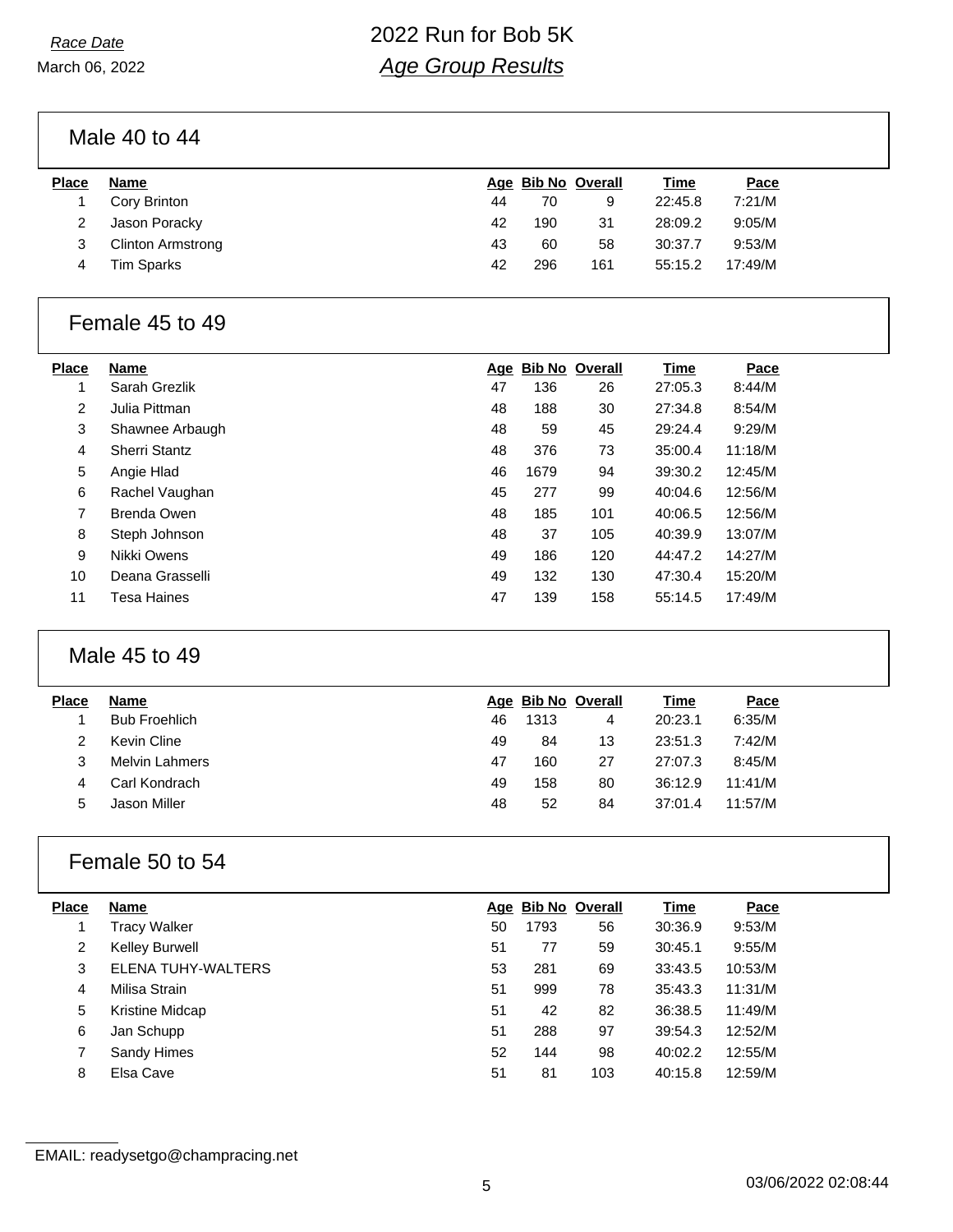March 06, 2022

Male 40 to 44

| <b>Place</b> | Name                     |    |     | Age Bib No Overall | <u>Time</u> | Pace    |
|--------------|--------------------------|----|-----|--------------------|-------------|---------|
|              | Cory Brinton             | 44 | 70  | 9                  | 22:45.8     | 7:21/M  |
|              | Jason Poracky            | 42 | 190 | 31                 | 28:09.2     | 9:05/M  |
|              | <b>Clinton Armstrong</b> | 43 | 60  | 58                 | 30:37.7     | 9:53/M  |
|              | <b>Tim Sparks</b>        | 42 | 296 | 161                | 55:15.2     | 17:49/M |

### Female 45 to 49

| <b>Place</b>   | Name                 | Age |      | <b>Bib No Overall</b> | Time    | Pace    |
|----------------|----------------------|-----|------|-----------------------|---------|---------|
| 1              | Sarah Grezlik        | 47  | 136  | 26                    | 27:05.3 | 8:44/M  |
| $\overline{2}$ | Julia Pittman        | 48  | 188  | 30                    | 27:34.8 | 8:54/M  |
| 3              | Shawnee Arbaugh      | 48  | 59   | 45                    | 29:24.4 | 9:29/M  |
| 4              | <b>Sherri Stantz</b> | 48  | 376  | 73                    | 35:00.4 | 11:18/M |
| 5              | Angie Hlad           | 46  | 1679 | 94                    | 39:30.2 | 12:45/M |
| 6              | Rachel Vaughan       | 45  | 277  | 99                    | 40:04.6 | 12:56/M |
| 7              | Brenda Owen          | 48  | 185  | 101                   | 40:06.5 | 12:56/M |
| 8              | Steph Johnson        | 48  | 37   | 105                   | 40:39.9 | 13:07/M |
| 9              | Nikki Owens          | 49  | 186  | 120                   | 44:47.2 | 14:27/M |
| 10             | Deana Grasselli      | 49  | 132  | 130                   | 47:30.4 | 15:20/M |
| 11             | Tesa Haines          | 47  | 139  | 158                   | 55:14.5 | 17:49/M |

### Male 45 to 49

| <b>Place</b> | <b>Name</b>           |    |      | Age Bib No Overall | <b>Time</b> | Pace    |  |
|--------------|-----------------------|----|------|--------------------|-------------|---------|--|
|              | <b>Bub Froehlich</b>  | 46 | 1313 | 4                  | 20:23.1     | 6:35/M  |  |
|              | Kevin Cline           | 49 | 84   | 13                 | 23:51.3     | 7:42/M  |  |
|              | <b>Melvin Lahmers</b> | 47 | 160  | 27                 | 27:07.3     | 8:45/M  |  |
|              | Carl Kondrach         | 49 | 158  | 80                 | 36:12.9     | 11:41/M |  |
| ٠h           | Jason Miller          | 48 | 52   | 84                 | 37:01.4     | 11:57/M |  |

### Female 50 to 54

| <b>Place</b> | <b>Name</b>        |    | Age Bib No Overall |     | <b>Time</b> | Pace    |
|--------------|--------------------|----|--------------------|-----|-------------|---------|
|              | Tracy Walker       | 50 | 1793               | 56  | 30:36.9     | 9:53/M  |
| 2            | Kelley Burwell     | 51 | 77                 | 59  | 30:45.1     | 9:55/M  |
| 3            | ELENA TUHY-WALTERS | 53 | 281                | 69  | 33:43.5     | 10:53/M |
| 4            | Milisa Strain      | 51 | 999                | 78  | 35:43.3     | 11:31/M |
| 5            | Kristine Midcap    | 51 | 42                 | 82  | 36:38.5     | 11:49/M |
| 6            | Jan Schupp         | 51 | 288                | 97  | 39:54.3     | 12:52/M |
|              | Sandy Himes        | 52 | 144                | 98  | 40:02.2     | 12:55/M |
| 8            | Elsa Cave          | 51 | 81                 | 103 | 40:15.8     | 12:59/M |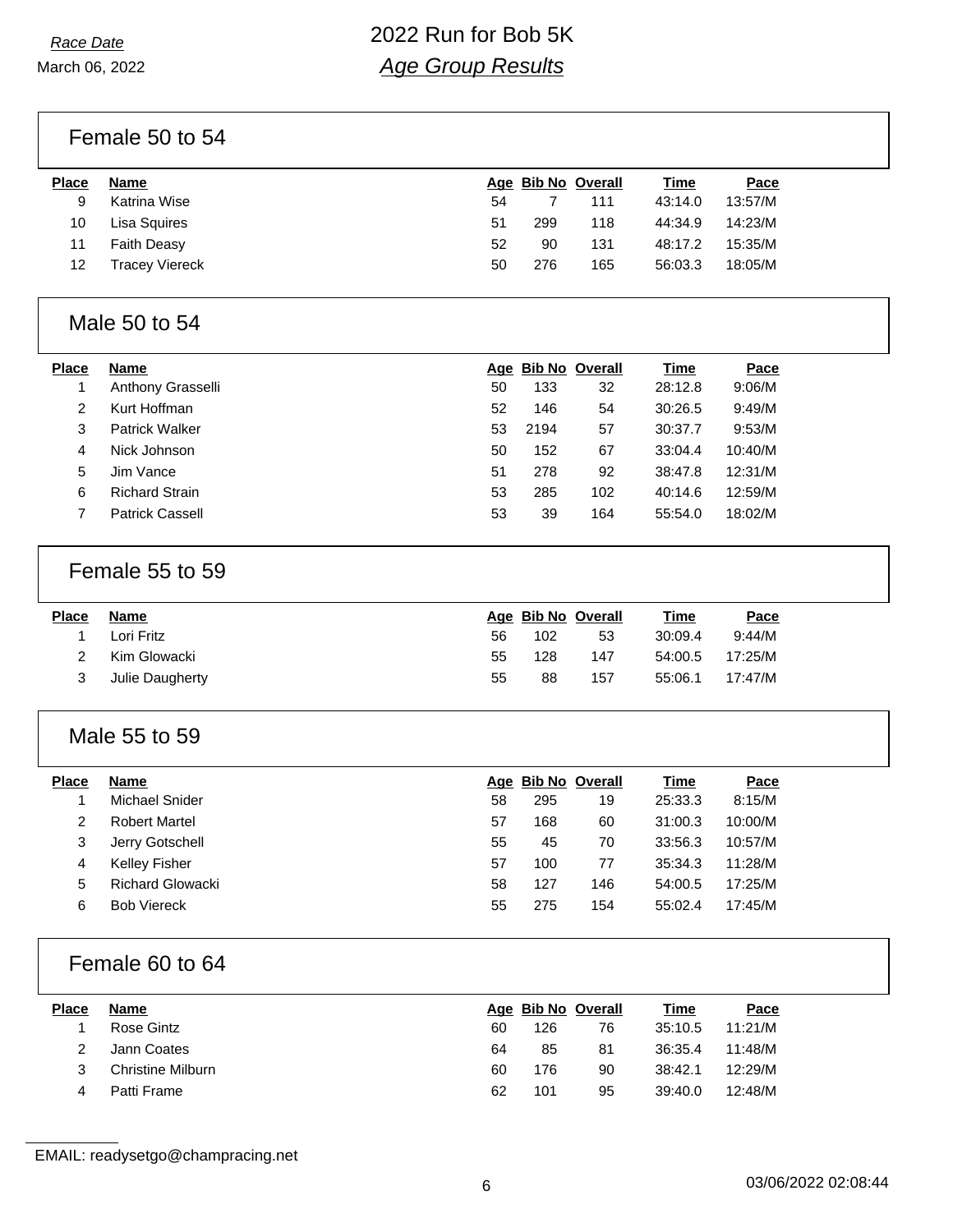March 06, 2022

Female 50 to 54

| <b>Place</b> | Name                  |    |     | Age Bib No Overall | <u>Time</u> | Pace    |
|--------------|-----------------------|----|-----|--------------------|-------------|---------|
| 9            | Katrina Wise          | 54 |     | 111                | 43:14.0     | 13:57/M |
| 10           | Lisa Squires          | 51 | 299 | 118                | 44:34.9     | 14:23/M |
| 11           | Faith Deasy           | 52 | 90  | 131                | 48:17.2     | 15:35/M |
| 12           | <b>Tracey Viereck</b> | 50 | 276 | 165                | 56:03.3     | 18:05/M |

### Male 50 to 54

| <b>Place</b> | <b>Name</b>            |    |      | Age Bib No Overall | <b>Time</b> | Pace    |
|--------------|------------------------|----|------|--------------------|-------------|---------|
|              | Anthony Grasselli      | 50 | 133  | 32                 | 28:12.8     | 9:06/M  |
| 2            | Kurt Hoffman           | 52 | 146  | 54                 | 30:26.5     | 9:49/M  |
| 3            | <b>Patrick Walker</b>  | 53 | 2194 | 57                 | 30:37.7     | 9:53/M  |
| 4            | Nick Johnson           | 50 | 152  | 67                 | 33:04.4     | 10:40/M |
| 5            | Jim Vance              | 51 | 278  | 92                 | 38:47.8     | 12:31/M |
| 6            | <b>Richard Strain</b>  | 53 | 285  | 102                | 40:14.6     | 12:59/M |
|              | <b>Patrick Cassell</b> | 53 | 39   | 164                | 55:54.0     | 18:02/M |

#### Female 55 to 59

| <b>Place</b> | Name            |    |     | Age Bib No Overall | Time    | Pace    |
|--------------|-----------------|----|-----|--------------------|---------|---------|
|              | Lori Fritz      | 56 | 102 | 53                 | 30:09.4 | 9:44/M  |
|              | Kim Glowacki    | 55 | 128 | 147                | 54:00.5 | 17:25/M |
| 3            | Julie Daugherty | 55 | 88  | 157                | 55:06.1 | 17:47/M |

#### Male 55 to 59

| <b>Place</b> | Name                    |    | Age Bib No Overall |     | Time    | Pace    |
|--------------|-------------------------|----|--------------------|-----|---------|---------|
|              | Michael Snider          | 58 | 295                | 19  | 25:33.3 | 8:15/M  |
| 2            | <b>Robert Martel</b>    | 57 | 168                | 60  | 31:00.3 | 10:00/M |
| 3            | Jerry Gotschell         | 55 | 45                 | 70  | 33:56.3 | 10:57/M |
| 4            | <b>Kelley Fisher</b>    | 57 | 100                | 77  | 35:34.3 | 11:28/M |
| 5            | <b>Richard Glowacki</b> | 58 | 127                | 146 | 54:00.5 | 17:25/M |
| 6            | <b>Bob Viereck</b>      | 55 | 275                | 154 | 55:02.4 | 17:45/M |

### Female 60 to 64

| <b>Place</b> | <b>Name</b>              |    |     | Age Bib No Overall | <b>Time</b> | Pace    |
|--------------|--------------------------|----|-----|--------------------|-------------|---------|
|              | Rose Gintz               | 60 | 126 | 76                 | 35:10.5     | 11:21/M |
|              | Jann Coates              | 64 | 85  | 81                 | 36:35.4     | 11:48/M |
|              | <b>Christine Milburn</b> | 60 | 176 | 90                 | 38:42.1     | 12:29/M |
|              | Patti Frame              | 62 | 101 | 95                 | 39:40.0     | 12:48/M |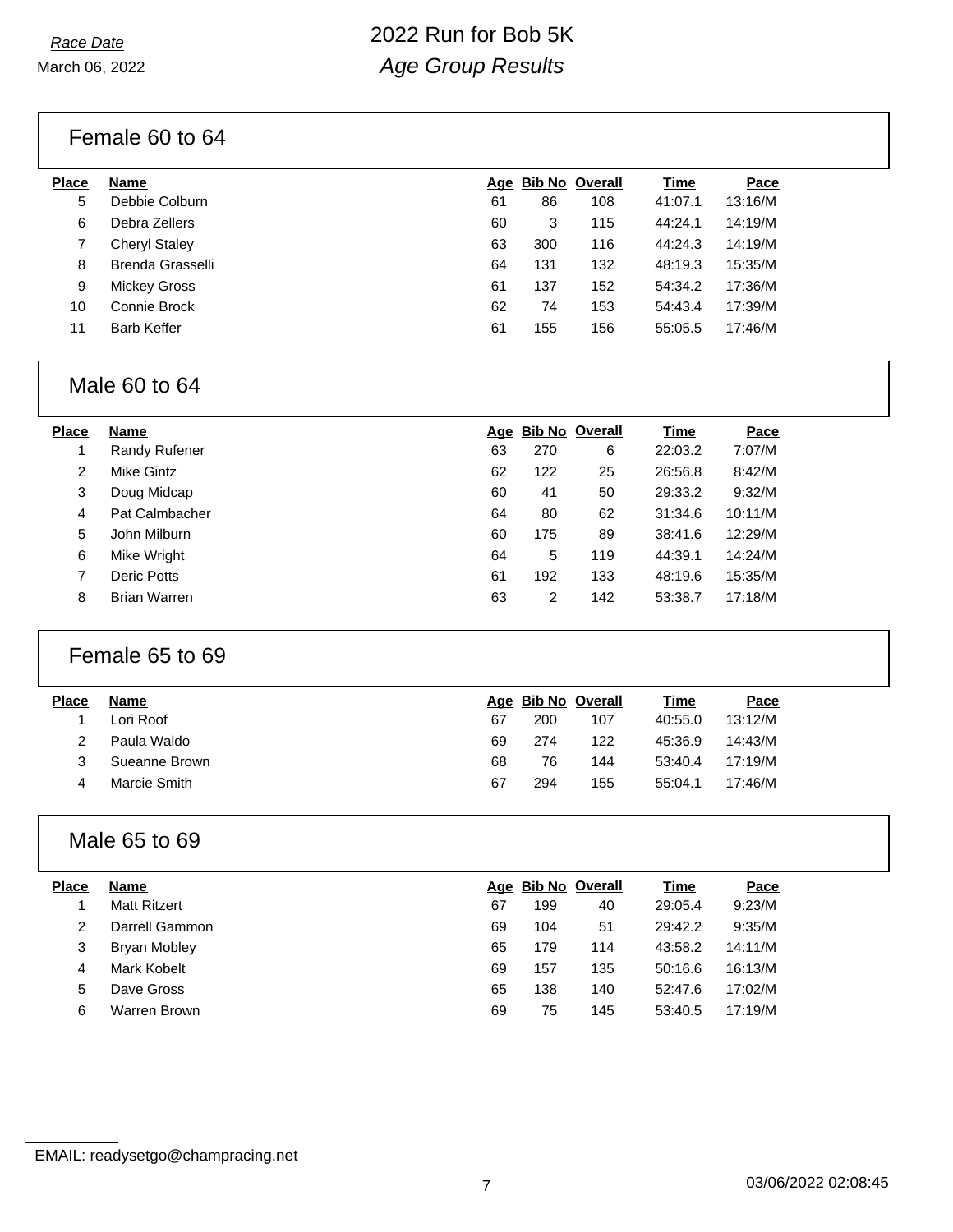Female 60 to 64

| <b>Place</b> | <b>Name</b>          |    |     | Age Bib No Overall | Time    | Pace    |
|--------------|----------------------|----|-----|--------------------|---------|---------|
| 5            | Debbie Colburn       | 61 | 86  | 108                | 41:07.1 | 13:16/M |
| 6            | Debra Zellers        | 60 | 3   | 115                | 44:24.1 | 14:19/M |
|              | <b>Cheryl Staley</b> | 63 | 300 | 116                | 44:24.3 | 14:19/M |
| 8            | Brenda Grasselli     | 64 | 131 | 132                | 48:19.3 | 15:35/M |
| 9            | <b>Mickey Gross</b>  | 61 | 137 | 152                | 54:34.2 | 17:36/M |
| 10           | Connie Brock         | 62 | 74  | 153                | 54:43.4 | 17:39/M |
| 11           | <b>Barb Keffer</b>   | 61 | 155 | 156                | 55:05.5 | 17:46/M |
|              |                      |    |     |                    |         |         |

### Male 60 to 64

| 7:07/M  |
|---------|
| 8:42/M  |
| 9:32/M  |
| 10:11/M |
| 12:29/M |
| 14:24/M |
| 15:35/M |
| 17:18/M |
|         |

### Female 65 to 69

| Place | <b>Name</b>   |    |     | Age Bib No Overall | Time    | Pace    |  |
|-------|---------------|----|-----|--------------------|---------|---------|--|
|       | Lori Roof     | 67 | 200 | 107                | 40:55.0 | 13:12/M |  |
| 2     | Paula Waldo   | 69 | 274 | 122                | 45:36.9 | 14:43/M |  |
|       | Sueanne Brown | 68 | 76  | 144                | 53:40.4 | 17:19/M |  |
| 4     | Marcie Smith  | 67 | 294 | 155                | 55:04.1 | 17:46/M |  |
|       |               |    |     |                    |         |         |  |

### Male 65 to 69

| <b>Place</b> | <b>Name</b>         |    | Age Bib No Overall |     | Time    | Pace    |
|--------------|---------------------|----|--------------------|-----|---------|---------|
|              | <b>Matt Ritzert</b> | 67 | 199                | 40  | 29:05.4 | 9:23/M  |
| 2            | Darrell Gammon      | 69 | 104                | 51  | 29:42.2 | 9:35/M  |
| 3            | Bryan Mobley        | 65 | 179                | 114 | 43:58.2 | 14:11/M |
| 4            | Mark Kobelt         | 69 | 157                | 135 | 50:16.6 | 16:13/M |
| 5            | Dave Gross          | 65 | 138                | 140 | 52:47.6 | 17:02/M |
| 6            | Warren Brown        | 69 | 75                 | 145 | 53:40.5 | 17:19/M |